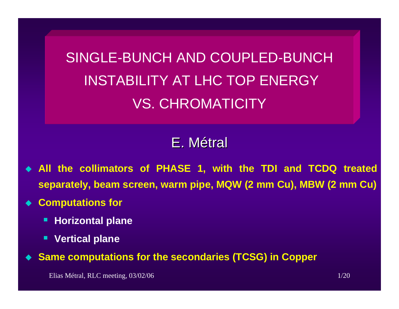SINGLE-BUNCH AND COUPLED-BUNCHINSTABILITY AT LHC TOP ENERGY VS. CHROMATICITY

# E.Métral

- ♦ **All the collimators of PHASE 1, with the TDI and TCDQ treated separately, beam screen, warm pipe, MQW (2 mm Cu), MBW (2 mm Cu)**
- ♦ **Computations for** 
	- п **Horizontal plane**
	- E **Vertical plane**
- $\blacklozenge$ **Same computations for the secondaries (TCSG) in Copper**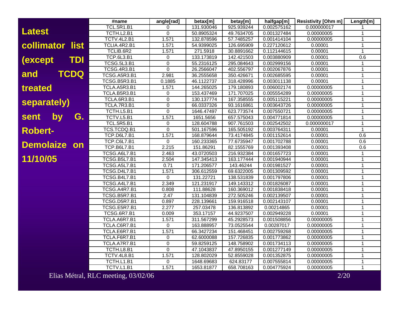|                              | #name              | angle[rad]     | betax[m]   | betay[m]   | halfgap[m]  | <b>Resistivity [Ohm m]</b> | Length[m]    |
|------------------------------|--------------------|----------------|------------|------------|-------------|----------------------------|--------------|
|                              | <b>TCL.5R1.B1</b>  | 0              | 131.930046 | 925.939244 | 0.002575162 | 0.000000017                |              |
| <b>Latest</b>                | TCTH.L2.B1         | $\mathbf{0}$   | 50.8905324 | 49.7634705 | 0.001327484 | 0.00000005                 | 1            |
|                              | TCTV.4L2.B1        | 1.571          | 132.878596 | 57.7485257 | 0.001414104 | 0.00000005                 | 1            |
| collimator<br>list           | TCLIA.4R2.B1       | 1.571          | 54.9399025 | 126.695909 | 0.227120612 | 0.00001                    | $\mathbf{1}$ |
|                              | TCLIB.6R2          | 1.571          | 271.5918   | 30.8891662 | 0.112144615 | 0.00001                    | $\mathbf{1}$ |
| <b>TDI</b><br><i>(except</i> | <b>TCP.6L3.B1</b>  | $\mathbf 0$    | 133.173819 | 142.421503 | 0.003880909 | 0.00001                    | 0.6          |
|                              | <b>TCSG.5L3.B1</b> | $\Omega$       | 55.2316125 | 295.084643 | 0.002999156 | 0.00001                    | $\mathbf{1}$ |
|                              | <b>TCSG.4R3.B1</b> | $\mathbf 0$    | 26.2566047 | 402.556797 | 0.002067876 | 0.00001                    | 1            |
| TCDQ<br>and                  | TCSG.A5R3.B1       | 2.981          | 36.2555658 | 350.426671 | 0.002685595 | 0.00001                    | 1            |
|                              | TCSG.B5R3.B1       | 0.1885         | 46.1122737 | 318.428996 | 0.003011138 | 0.00001                    | 1            |
| treated                      | TCLA.A5R3.B1       | 1.571          | 144.265025 | 179.180893 | 0.006002174 | 0.00000005                 | 1            |
|                              | TCLA.B5R3.B1       | 0              | 153.437469 | 171.707025 | 0.005554289 | 0.00000005                 | 1            |
| separately)                  | TCLA.6R3.B1        | $\mathbf 0$    | 130.137774 | 167.358555 | 0.005115221 | 0.00000005                 | 1            |
|                              | TCLA.7R3.B1        | $\overline{0}$ | 66.0337326 | 93.1616861 | 0.003643726 | 0.00000005                 | $\mathbf{1}$ |
|                              | TCTH.L5.B1         | 0              | 1646.47497 | 623.773574 | 0.007550721 | 0.00000005                 | 1            |
| G.<br>by<br>sent             | TCTV.L5.B1         | 1.571          | 1651.5656  | 657.575043 | 0.004771814 | 0.00000005                 | $\mathbf{1}$ |
|                              | <b>TCL.5R5.B1</b>  | 0              | 128.604788 | 907.761503 | 0.002542502 | 0.000000017                | 1            |
| <b>Robert-</b>               | TCS.TCDQ.B1        | $\mathbf 0$    | 501.167596 | 165.505192 | 0.003764311 | 0.00001                    | $\mathbf{1}$ |
|                              | TCP.D6L7.B1        | 1.571          | 168.879644 | 73.4174845 | 0.001152614 | 0.00001                    | 0.6          |
| <b>Demolaize</b><br>on       | <b>TCP.C6L7.B1</b> | 0              | 160.233365 | 77.6735947 | 0.001702788 | 0.00001                    | 0.6          |
|                              | <b>TCP.B6L7.B1</b> | 2.215          | 151.86291  | 82.1555769 | 0.001393408 | 0.00001                    | 0.6          |
|                              | TCSG.A6L7.B1       | 2.463          | 43.0720503 | 216.932384 | 0.001657723 | 0.00001                    | 1            |
| 11/10/05                     | TCSG.B5L7.B1       | 2.504          | 147.345413 | 163.177444 | 0.001940944 | 0.00001                    | $\mathbf{1}$ |
|                              | TCSG.A5L7.B1       | 0.71           | 171.206577 | 143.46244  | 0.001981527 | 0.00001                    | 1            |
|                              | TCSG.D4L7.B1       | 1.571          | 306.612559 | 69.6322005 | 0.001309592 | 0.00001                    |              |
|                              | TCSG.B4L7.B1       | $\Omega$       | 131.22721  | 138.531839 | 0.001797806 | 0.00001                    | $\mathbf{1}$ |
|                              | TCSG.A4L7.B1       | 2.349          | 121.231917 | 149.143312 | 0.001826087 | 0.00001                    | $\mathbf{1}$ |
|                              | TCSG.A4R7.B1       | 0.808          | 111.88628  | 160.369012 | 0.001838418 | 0.00001                    | 1            |
|                              | TCSG.B5R7.B1       | 2.47           | 131.104839 | 272.505246 | 0.002139507 | 0.00001                    | 1            |
|                              | TCSG.D5R7.B1       | 0.897          | 228.139661 | 159.916518 | 0.002143107 | 0.00001                    | 1            |
|                              | TCSG.E5R7.B1       | 2.277          | 257.03478  | 136.813892 | 0.00214865  | 0.00001                    | 1            |
|                              | <b>TCSG.6R7.B1</b> | 0.009          | 353.17157  | 44.9237507 | 0.002949228 | 0.00001                    | 1            |
|                              | TCLA.A6R7.B1       | 1.571          | 311.567299 | 45.2928573 | 0.001508856 | 0.00000005                 | 1            |
|                              | TCLA.C6R7.B1       | 0              | 163.888957 | 73.0525544 | 0.00287017  | 0.00000005                 | 1            |
|                              | TCLA.E6R7.B1       | 1.571          | 66.3427234 | 151.468451 | 0.002759268 | 0.00000005                 | 1            |
|                              | TCLA.F6R7.B1       | 0              | 62.6000088 | 157.726835 | 0.001773862 | 0.00000005                 | 1            |
|                              | TCLA.A7R7.B1       | 0              | 59.8259125 | 148.758902 | 0.001734113 | 0.00000005                 | 1            |
|                              | TCTH.L8.B1         | $\mathbf 0$    | 47.1043837 | 47.8950155 | 0.001277149 | 0.00000005                 | $\mathbf{1}$ |
|                              | TCTV.4L8.B1        | 1.571          | 128.802029 | 52.8559028 | 0.001352875 | 0.00000005                 | $\mathbf{1}$ |
|                              | TCTH.L1.B1         | 0              | 1648.69683 | 624.83177  | 0.007555814 | 0.00000005                 | 1            |
|                              | TCTV.L1.B1         | 1.571          | 1653.81877 | 658.708163 | 0.004775924 | 0.00000005                 | $\mathbf{1}$ |

Elias Métral, RLC meeting, 03/02/06 2/20 2/20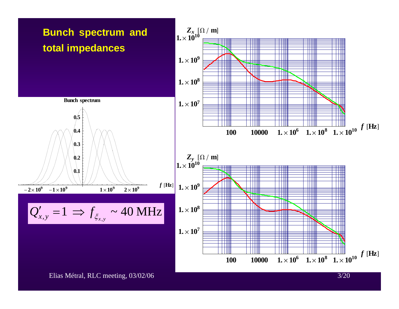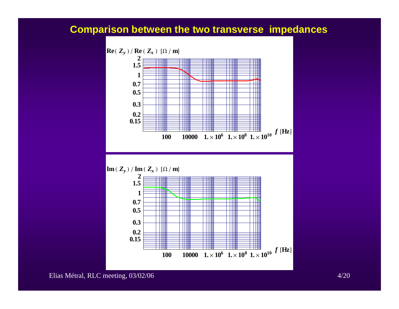### **Comparison between the two transverse impedances**

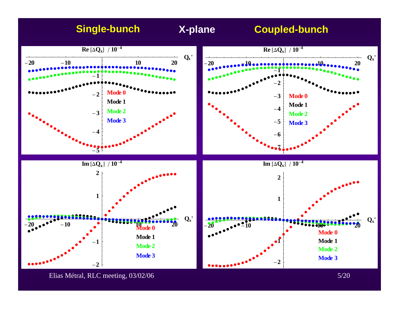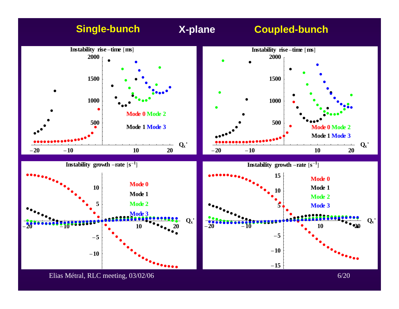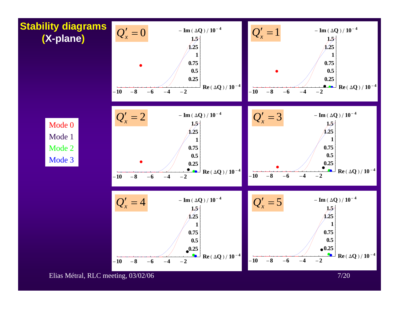

Elias Métral, RLC meeting, 03/02/06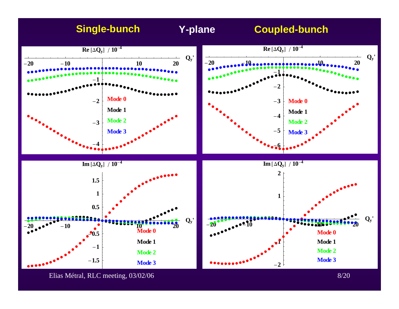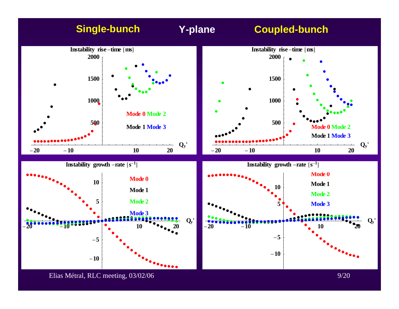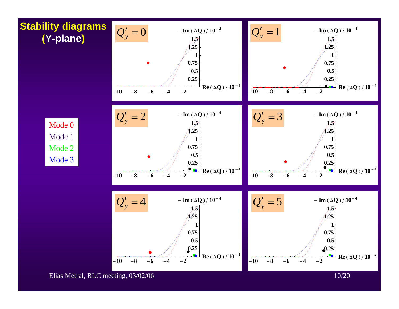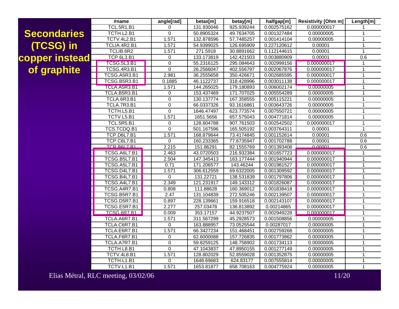## **Secondaries (TCSG) in copper instead of graphite**

| #name              |                     |  | angle[rad]     | betax[m]   | betay[m]   | halfgap[m]  | <b>Resistivity [Ohm m]</b> | Length[m]      |
|--------------------|---------------------|--|----------------|------------|------------|-------------|----------------------------|----------------|
| <b>TCL.5R1.B1</b>  |                     |  | 0              | 131.930046 | 925.939244 | 0.002575162 | 0.000000017                | 1              |
|                    | TCTH.L2.B1          |  | $\overline{0}$ | 50.8905324 | 49.7634705 | 0.001327484 | 0.00000005                 | 1              |
|                    | TCTV.4L2.B1         |  | 1.571          | 132.878596 | 57.7485257 | 0.001414104 | 0.00000005                 | 1              |
|                    | TCLIA.4R2.B1        |  | 1.571          | 54.9399025 | 126.695909 | 0.227120612 | 0.00001                    | $\mathbf{1}$   |
| TCLIB.6R2          |                     |  | 1.571          | 271.5918   | 30.8891662 | 0.112144615 | 0.00001                    | $\mathbf{1}$   |
| <b>TCP.6L3.B1</b>  |                     |  | 0              | 133.173819 | 142.421503 | 0.003880909 | 0.00001                    | 0.6            |
|                    | <b>TCSG.5L3.B1</b>  |  | 0              | 55.2316125 | 295.084643 | 0.002999156 | 0.000000017                | $\mathbf 1$    |
|                    | <b>TCSG.4R3.B1</b>  |  | $\overline{0}$ | 26.2566047 | 402.556797 | 0.002067876 | 0.000000017                | $\overline{1}$ |
|                    | TCSG.A5R3.B1        |  | 2.981          | 36.2555658 | 350.426671 | 0.002685595 | 0.000000017                | $\overline{1}$ |
|                    | TCSG.B5R3.B1        |  | 0.1885         | 46.1122737 | 318.428996 | 0.003011138 | 0.000000017                | $\mathbf{1}$   |
|                    | TCLA.A5R3.B1        |  | 1.571          | 144.265025 | 179.180893 | 0.006002174 | 0.00000005                 | 1              |
| TCLA.B5R3.B1       |                     |  | 0              | 153.437469 | 171.707025 | 0.005554289 | 0.00000005                 | $\mathbf{1}$   |
| TCLA.6R3.B1        |                     |  | $\overline{0}$ | 130.137774 | 167.358555 | 0.005115221 | 0.00000005                 | $\mathbf{1}$   |
| <b>TCLA.7R3.B1</b> |                     |  | $\overline{0}$ | 66.0337326 | 93.1616861 | 0.003643726 | 0.00000005                 | 1              |
|                    | TCTH.L5.B1          |  | 0              | 1646.47497 | 623.773574 | 0.007550721 | 0.00000005                 | 1              |
|                    | TCTV.L5.B1          |  | 1.571          | 1651.5656  | 657.575043 | 0.004771814 | 0.00000005                 | 1              |
|                    | <b>TCL.5R5.B1</b>   |  | 0              | 128.604788 | 907.761503 | 0.002542502 | 0.000000017                | $\mathbf{1}$   |
|                    | TCS.TCDQ.B1         |  | $\overline{0}$ | 501.167596 | 165.505192 | 0.003764311 | 0.00001                    | $\mathbf{1}$   |
| TCP.D6L7.B1        |                     |  | 1.571          | 168.879644 | 73.4174845 | 0.001152614 | 0.00001                    | 0.6            |
| TCP.C6L7.B1        |                     |  | $\overline{0}$ | 160.233365 | 77.6735947 | 0.001702788 | 0.00001                    | 0.6            |
| TCP RAL 7 R1       |                     |  | 2.215          | 151.86291  | 82.1555769 | 0.001393408 | 0.00001                    | 0.6            |
|                    | TCSG.A6L7.B1        |  | 2.463          | 43.0720503 | 216.932384 | 0.001657723 | 0.000000017                | $\mathbf{1}$   |
|                    | <b>TCSG.B5L7.B1</b> |  | 2.504          | 147.345413 | 163.177444 | 0.001940944 | 0.000000017                | $\mathbf{1}$   |
|                    | TCSG.A5L7.B1        |  | 0.71           | 171.206577 | 143.46244  | 0.001981527 | 0.000000017                | 1              |
|                    | <b>TCSG.D4L7.B1</b> |  | 1.571          | 306.612559 | 69.6322005 | 0.001309592 | 0.000000017                | 1              |
|                    | TCSG.B4L7.B1        |  | $\mathbf 0$    | 131.22721  | 138.531839 | 0.001797806 | 0.000000017                | $\mathbf{1}$   |
|                    | TCSG.A4L7.B1        |  | 2.349          | 121.231917 | 149.143312 | 0.001826087 | 0.000000017                | $\mathbf{1}$   |
|                    | TCSG.A4R7.B1        |  | 0.808          | 111.88628  | 160.369012 | 0.001838418 | 0.000000017                | 1              |
|                    | TCSG.B5R7.B1        |  | 2.47           | 131.104839 | 272.505246 | 0.002139507 | 0.000000017                | 1              |
|                    | TCSG.D5R7.B1        |  | 0.897          | 228.139661 | 159.916518 | 0.002143107 | 0.000000017                | $\mathbf{1}$   |
|                    | TCSG.E5R7.B1        |  | 2.277          | 257.03478  | 136.813892 | 0.00214865  | 0.000000017                | $\mathbf{1}$   |
|                    | TCSG 6R7.B1         |  | 0.009          | 353.17157  | 44.9237507 | 0.002949228 | 0.000000017                | 1              |
|                    | TCLA.A6R7.B1        |  | 1.571          | 311.567299 | 45.2928573 | 0.001508856 | 0.00000005                 | 1              |
| TCLA.C6R7.B1       |                     |  | 0              | 163.888957 | 73.0525544 | 0.00287017  | 0.00000005                 | $\mathbf 1$    |
| TCLA.E6R7.B1       |                     |  | 1.571          | 66.3427234 | 151.468451 | 0.002759268 | 0.00000005                 | $\mathbf{1}$   |
| TCLA.F6R7.B1       |                     |  | 0              | 62.6000088 | 157.726835 | 0.001773862 | 0.00000005                 | 1              |
| TCLA.A7R7.B1       |                     |  | $\pmb{0}$      | 59.8259125 | 148.758902 | 0.001734113 | 0.00000005                 | $\mathbf{1}$   |
| TCTH.L8.B1         |                     |  | $\overline{0}$ | 47.1043837 | 47.8950155 | 0.001277149 | 0.00000005                 | $\mathbf{1}$   |
| <b>TCTV.4L8.B1</b> |                     |  | 1.571          | 128.802029 | 52.8559028 | 0.001352875 | 0.00000005                 | $\overline{1}$ |
| TCTH.L1.B1         |                     |  | $\mathbf 0$    | 1648.69683 | 624.83177  | 0.007555814 | 0.00000005                 | $\mathbf{1}$   |
| TCTV.L1.B1         |                     |  | 1.571          | 1653.81877 | 658.708163 | 0.004775924 | 0.00000005                 | $\mathbf{1}$   |

Elias Métral, RLC meeting, 03/02/06 11/20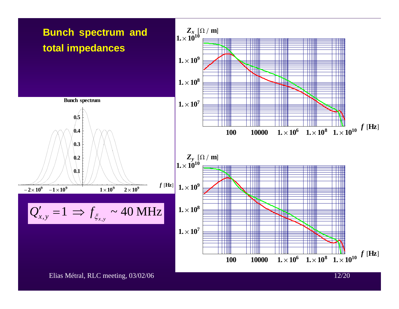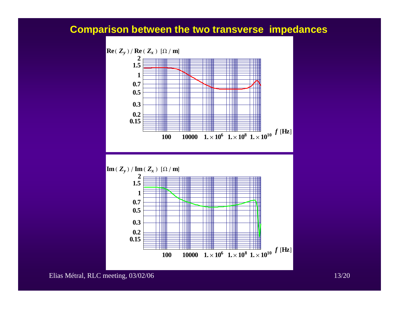### **Comparison between the two transverse impedances**

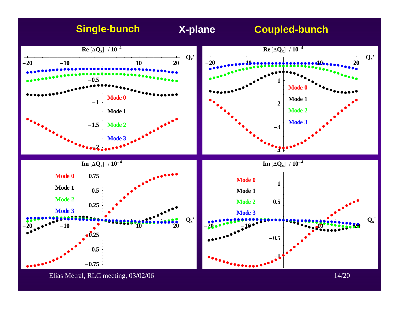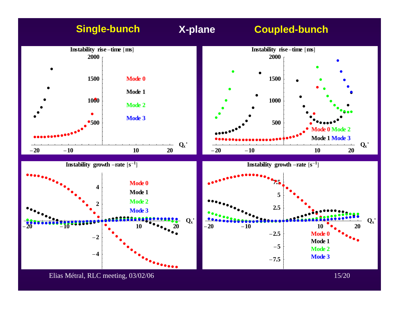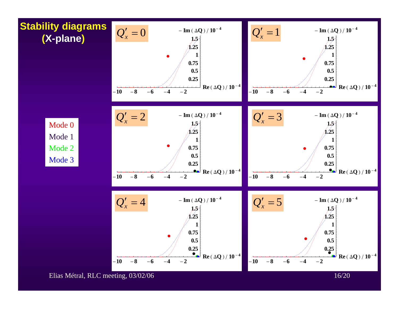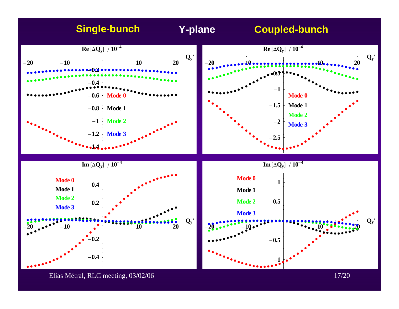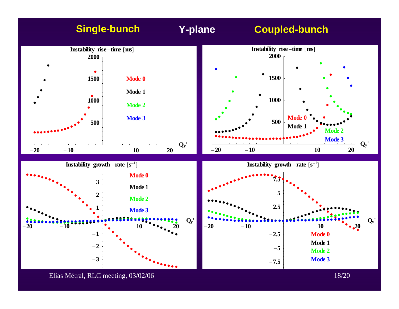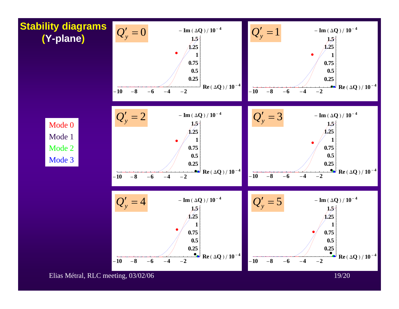